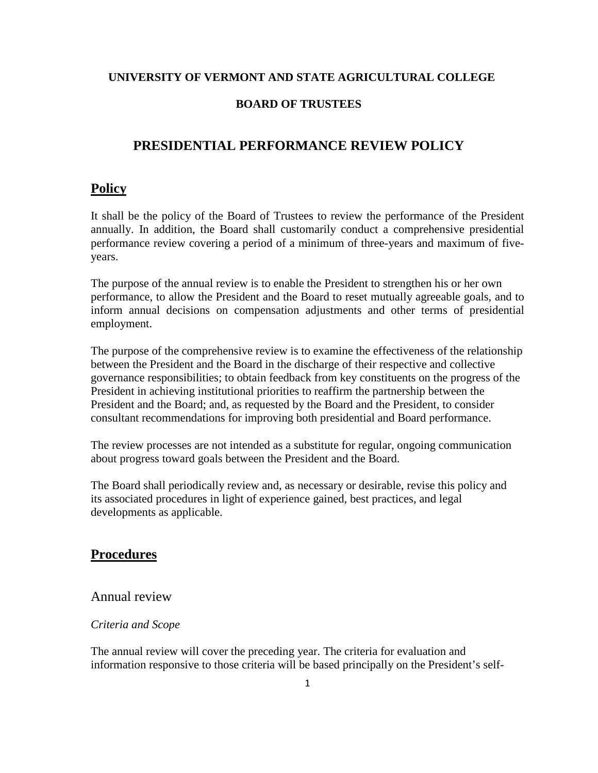### **UNIVERSITY OF VERMONT AND STATE AGRICULTURAL COLLEGE**

### **BOARD OF TRUSTEES**

# **PRESIDENTIAL PERFORMANCE REVIEW POLICY**

## **Policy**

It shall be the policy of the Board of Trustees to review the performance of the President annually. In addition, the Board shall customarily conduct a comprehensive presidential performance review covering a period of a minimum of three-years and maximum of fiveyears.

The purpose of the annual review is to enable the President to strengthen his or her own performance, to allow the President and the Board to reset mutually agreeable goals, and to inform annual decisions on compensation adjustments and other terms of presidential employment.

The purpose of the comprehensive review is to examine the effectiveness of the relationship between the President and the Board in the discharge of their respective and collective governance responsibilities; to obtain feedback from key constituents on the progress of the President in achieving institutional priorities to reaffirm the partnership between the President and the Board; and, as requested by the Board and the President, to consider consultant recommendations for improving both presidential and Board performance.

The review processes are not intended as a substitute for regular, ongoing communication about progress toward goals between the President and the Board.

The Board shall periodically review and, as necessary or desirable, revise this policy and its associated procedures in light of experience gained, best practices, and legal developments as applicable.

# **Procedures**

# Annual review

### *Criteria and Scope*

The annual review will cover the preceding year. The criteria for evaluation and information responsive to those criteria will be based principally on the President's self-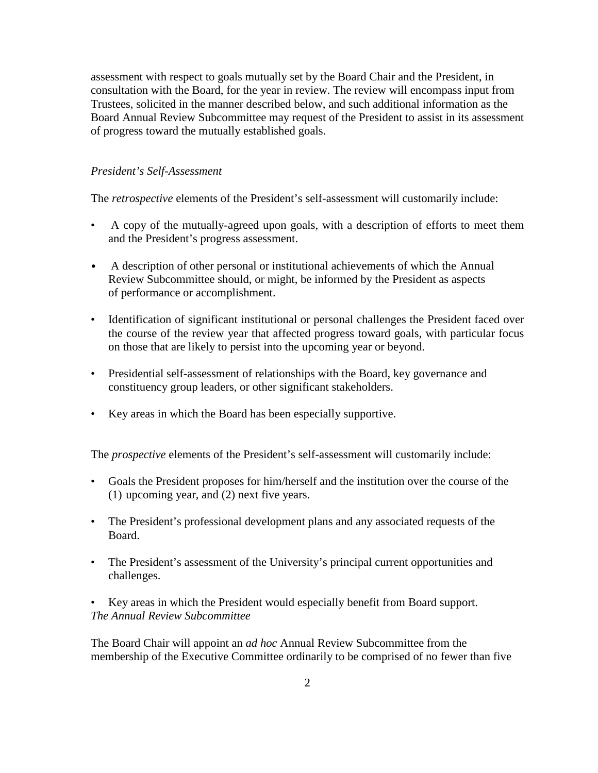assessment with respect to goals mutually set by the Board Chair and the President, in consultation with the Board, for the year in review. The review will encompass input from Trustees, solicited in the manner described below, and such additional information as the Board Annual Review Subcommittee may request of the President to assist in its assessment of progress toward the mutually established goals.

## *President's Self-Assessment*

The *retrospective* elements of the President's self-assessment will customarily include:

- A copy of the mutually-agreed upon goals, with a description of efforts to meet them and the President's progress assessment.
- A description of other personal or institutional achievements of which the Annual Review Subcommittee should, or might, be informed by the President as aspects of performance or accomplishment.
- Identification of significant institutional or personal challenges the President faced over the course of the review year that affected progress toward goals, with particular focus on those that are likely to persist into the upcoming year or beyond.
- Presidential self-assessment of relationships with the Board, key governance and constituency group leaders, or other significant stakeholders.
- Key areas in which the Board has been especially supportive.

The *prospective* elements of the President's self-assessment will customarily include:

- Goals the President proposes for him/herself and the institution over the course of the (1) upcoming year, and (2) next five years.
- The President's professional development plans and any associated requests of the Board.
- The President's assessment of the University's principal current opportunities and challenges.

• Key areas in which the President would especially benefit from Board support. *The Annual Review Subcommittee*

The Board Chair will appoint an *ad hoc* Annual Review Subcommittee from the membership of the Executive Committee ordinarily to be comprised of no fewer than five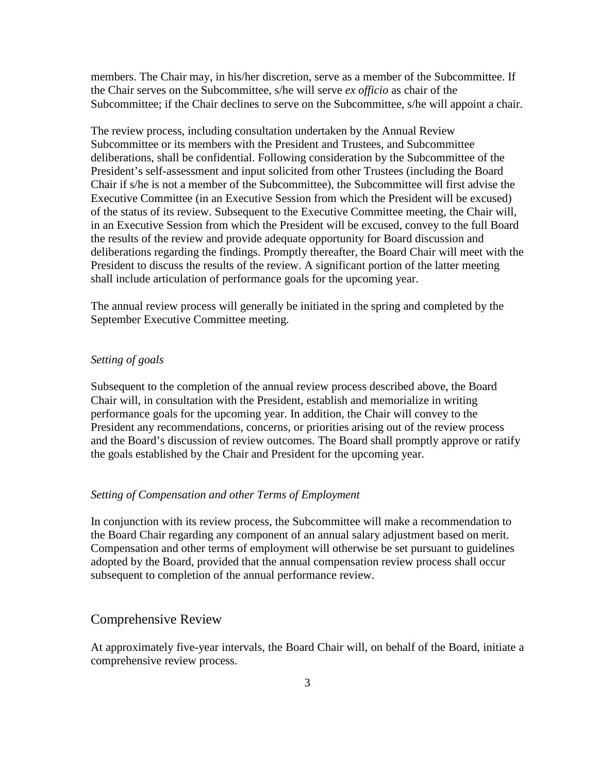members. The Chair may, in his/her discretion, serve as a member of the Subcommittee. If the Chair serves on the Subcommittee, s/he will serve *ex officio* as chair of the Subcommittee; if the Chair declines to serve on the Subcommittee, s/he will appoint a chair.

The review process, including consultation undertaken by the Annual Review Subcommittee or its members with the President and Trustees, and Subcommittee deliberations, shall be confidential. Following consideration by the Subcommittee of the President's self-assessment and input solicited from other Trustees (including the Board Chair if s/he is not a member of the Subcommittee), the Subcommittee will first advise the Executive Committee (in an Executive Session from which the President will be excused) of the status of its review. Subsequent to the Executive Committee meeting, the Chair will, in an Executive Session from which the President will be excused, convey to the full Board the results of the review and provide adequate opportunity for Board discussion and deliberations regarding the findings. Promptly thereafter, the Board Chair will meet with the President to discuss the results of the review. A significant portion of the latter meeting shall include articulation of performance goals for the upcoming year.

The annual review process will generally be initiated in the spring and completed by the September Executive Committee meeting.

#### *Setting of goals*

Subsequent to the completion of the annual review process described above, the Board Chair will, in consultation with the President, establish and memorialize in writing performance goals for the upcoming year. In addition, the Chair will convey to the President any recommendations, concerns, or priorities arising out of the review process and the Board's discussion of review outcomes. The Board shall promptly approve or ratify the goals established by the Chair and President for the upcoming year.

#### *Setting of Compensation and other Terms of Employment*

In conjunction with its review process, the Subcommittee will make a recommendation to the Board Chair regarding any component of an annual salary adjustment based on merit. Compensation and other terms of employment will otherwise be set pursuant to guidelines adopted by the Board, provided that the annual compensation review process shall occur subsequent to completion of the annual performance review.

## Comprehensive Review

At approximately five-year intervals, the Board Chair will, on behalf of the Board, initiate a comprehensive review process.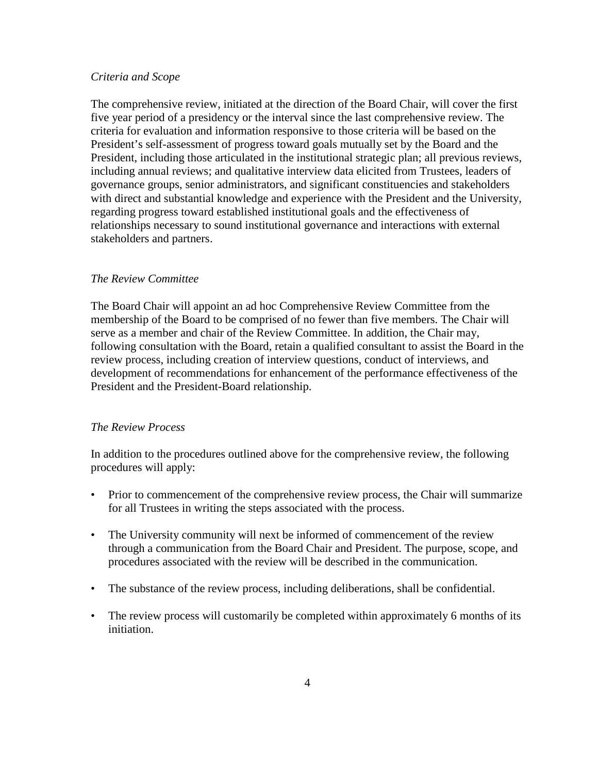#### *Criteria and Scope*

The comprehensive review, initiated at the direction of the Board Chair, will cover the first five year period of a presidency or the interval since the last comprehensive review. The criteria for evaluation and information responsive to those criteria will be based on the President's self-assessment of progress toward goals mutually set by the Board and the President, including those articulated in the institutional strategic plan; all previous reviews, including annual reviews; and qualitative interview data elicited from Trustees, leaders of governance groups, senior administrators, and significant constituencies and stakeholders with direct and substantial knowledge and experience with the President and the University, regarding progress toward established institutional goals and the effectiveness of relationships necessary to sound institutional governance and interactions with external stakeholders and partners.

#### *The Review Committee*

The Board Chair will appoint an ad hoc Comprehensive Review Committee from the membership of the Board to be comprised of no fewer than five members. The Chair will serve as a member and chair of the Review Committee. In addition, the Chair may, following consultation with the Board, retain a qualified consultant to assist the Board in the review process, including creation of interview questions, conduct of interviews, and development of recommendations for enhancement of the performance effectiveness of the President and the President-Board relationship.

### *The Review Process*

In addition to the procedures outlined above for the comprehensive review, the following procedures will apply:

- Prior to commencement of the comprehensive review process, the Chair will summarize for all Trustees in writing the steps associated with the process.
- The University community will next be informed of commencement of the review through a communication from the Board Chair and President. The purpose, scope, and procedures associated with the review will be described in the communication.
- The substance of the review process, including deliberations, shall be confidential.
- The review process will customarily be completed within approximately 6 months of its initiation.